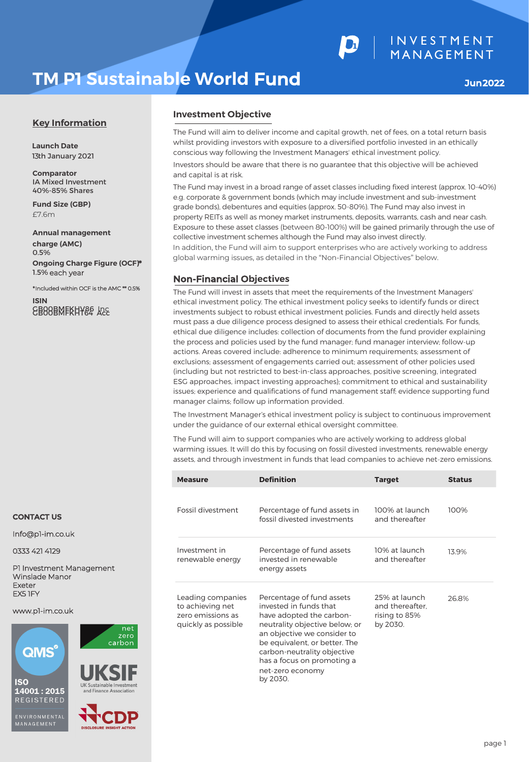# **TM P1 Sustainable World Fund**

**Jun 2022**

## **Key Information**

**Launch Date** 13th January 2021

**Comparator**  IA Mixed Investment 40%-85% Shares

**Fund Size (GBP)**  £7.6m

**Annual management** 

**charge (AMC)**  0.5% **Ongoing Charge Figure (OCF)\*** 1.5% each year

\* Included within OCF is the AMC \*\* 0.5% **ISIN EB88BMFKHY&& Ace** 

## **CONTACT US**

Info@p1-im.co.uk

0333 421 4129

P1 Investment Management Winslade Manor Exeter EX5 1FY

### www.p1-im.co.uk







## **Investment Objective**

The Fund will aim to deliver income and capital growth, net of fees, on a total return basis whilst providing investors with exposure to a diversified portfolio invested in an ethically conscious way following the Investment Managers' ethical investment policy. Investors should be aware that there is no guarantee that this objective will be achieved and capital is at risk.

The Fund may invest in a broad range of asset classes including fixed interest (approx. 10-40%) e.g. corporate & government bonds (which may include investment and sub-investment grade bonds), debentures and equities (approx. 50-80%). The Fund may also invest in property REITs as well as money market instruments, deposits, warrants, cash and near cash. Exposure to these asset classes (between 80-100%) will be gained primarily through the use of collective investment schemes although the Fund may also invest directly.

In addition, the Fund will aim to support enterprises who are actively working to address global warming issues, as detailed in the "Non-Financial Objectives" below.

## **Non-Financial Objectives**

The Fund will invest in assets that meet the requirements of the Investment Managers' ethical investment policy. The ethical investment policy seeks to identify funds or direct investments subject to robust ethical investment policies. Funds and directly held assets must pass a due diligence process designed to assess their ethical credentials. For funds, ethical due diligence includes: collection of documents from the fund provider explaining the process and policies used by the fund manager; fund manager interview; follow-up actions. Areas covered include: adherence to minimum requirements; assessment of exclusions; assessment of engagements carried out; assessment of other policies used (including but not restricted to best-in-class approaches, positive screening, integrated ESG approaches, impact investing approaches); commitment to ethical and sustainability issues; experience and qualifications of fund management staff; evidence supporting fund manager claims; follow up information provided.

The Investment Manager's ethical investment policy is subject to continuous improvement under the guidance of our external ethical oversight committee.

The Fund will aim to support companies who are actively working to address global warming issues. It will do this by focusing on fossil divested investments, renewable energy assets, and through investment in funds that lead companies to achieve net-zero emissions.

| <b>Measure</b>                                                                    | <b>Definition</b>                                                                                                                                                                                                                                                              | <b>Target</b>                                                 | <b>Status</b> |
|-----------------------------------------------------------------------------------|--------------------------------------------------------------------------------------------------------------------------------------------------------------------------------------------------------------------------------------------------------------------------------|---------------------------------------------------------------|---------------|
| Fossil divestment                                                                 | Percentage of fund assets in<br>fossil divested investments                                                                                                                                                                                                                    | 100% at launch<br>and thereafter                              | 100%          |
| Investment in<br>renewable energy                                                 | Percentage of fund assets<br>invested in renewable<br>energy assets                                                                                                                                                                                                            | 10% at launch<br>and thereafter                               | 13.9%         |
| Leading companies<br>to achieving net<br>zero emissions as<br>quickly as possible | Percentage of fund assets<br>invested in funds that<br>have adopted the carbon-<br>neutrality objective below; or<br>an objective we consider to<br>be equivalent, or better. The<br>carbon-neutrality objective<br>has a focus on promoting a<br>net-zero economy<br>by 2030. | 25% at launch<br>and thereafter.<br>rising to 85%<br>by 2030. | 26.8%         |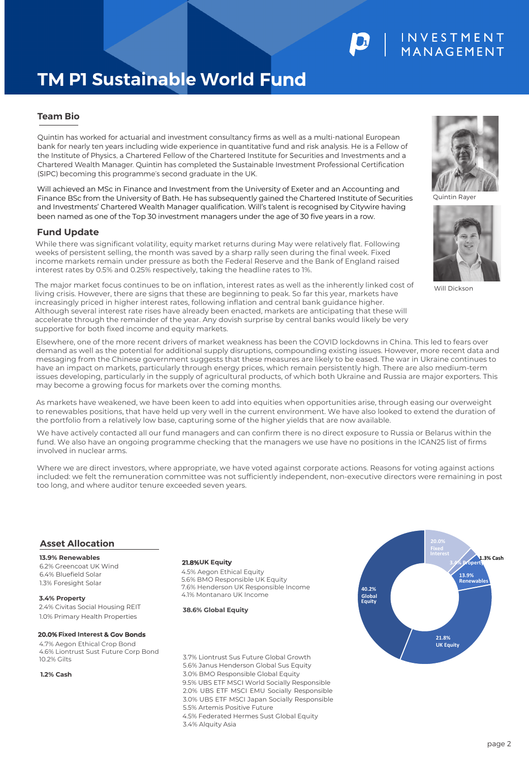#### **TM P1 Sustainable World Fund** and present a limited risk to capital. Only a relatively small and important to them that their capital is as protected as possible. The portfolio will focus on investments which may well assets will be included in the portfolio in order to increase the opportunity for better long term returns. enhance returns while controlling overall costs, primarily using active investments. The P<sub>1</sub> A<sub>pp</sub>roach

**Comparator** IA Mixed Investment 0%-35% Shares

**Investment Mgmt Charge** 0.25%

accepting of capital loss over a prolonged period. The managers are therefore likely to have a higher proportion of equities and alternative assets (which can boost long term returns but are associated with more risk) relative to fixed interest securities (which may well provide low returns in the long term but which present a limited risk to capital) and capital) and cash. As well as selecting ethical funds that meet th possible standards including avoidance of sectors deemed to be unethical, investment in companies making a positive contribution and active engagement with ethical issues. The managers seek to

#### **Team Bio** in the portfolio may also utilise passive sectors. The portfolio may also utilise passive funds, where it is felt  $\pi$ eam Bio $\pi$

Quintin has worked for actuarial and investment consultancy firms as well as a multi-national European bank for nearly ten years including wide experience in quantitative fund and risk analysis. He is a Fellow of the Institute of Physics, a Chartered Fellow of the Chartered Institute for Securities and Investments and a the matitude of Friyalea, a Chartered Tenow of the Chartered institute for Securities and investments and a<br>Chartered Wealth Manager. Quintin has completed the Sustainable Investment Professional Certification enartered wealth manager. Quintin has compreted the Sastant<br>(SIPC) becoming this programme's second graduate in the UK.  $10<sup>10</sup>$  Church House Interest **Asset allocation** (underlying) means that we truly understand the issues and challenges surrounding ethical investment and can (SIPC) becoming this programme's second graduate in the UK.

Will achieved an MSc in Finance and Investment from the University of Exeter and an Accounting and Finance BSc from the University of Bath. He has subsequently gained the Chartered Institute of Securities experience of the Ten 70 investment meanogers under the been named as one of the Top 30 investment managers under the age of 30 five years in a row. wheneve been entitled entitled by the sector. The second entity games are chartered instructed recognised.<br>And Investments' Chartered Wealth Manager qualification. Will's talent is recognised by Citywire having

#### 6% Liontrust Special Situations **Fund Update** shareholders voting rights and their level of engagement. We believe our insight into ethical and

here was significant volatility weeks of persistent selling, the month was saved by a sharp rally seen during the final week. Fixed income markets remain under pressure as both the Federal Reserve and the Bank of England raised<br>interest rates by 0.5% and 0.35% respectively taking the beadling rates to 1% interest rates by 0.5% and 0.25% respectively, taking the headline rates to 1%. rund Update<br>While there was significant volatility, equity market returns during May were relatively flat. Following

accelerate through the remainder of the year. Any dovish surprise by central banks would likely be very<br>supportive for both fixed income and equity markets The major market focus continues to be on inflation, interest rates as well as the inherently linked cost of living crisis. However, there are signs that these are beginning to peak. So far this year, markets have meredsingly priecd immigher interest rates, rollowing imidition and certiful bank guidance riigher.<br>Although several interest rate rises have already been enacted, markets are anticipating that these will the general to motive comparison and these are beginning to peak. So iar this year, markets in increasingly priced in higher interest rates, following inflation and central bank guidance higher. supportive for both fixed income and equity markets.

Elsewhere, one of the more recent drivers of market weakness has been the COVID lockdowns in China. This led to fears over messaging nom the chinese government suggests that these measures are likely to be eased. The war in Okrame continues<br>have an impact on markets, particularly through energy prices, which remain persistently high. There are P1 offer nine risk-rated model portfolios 20 Avit Coolings Deen and demand as well as the potential for additional supply disruptions, compounding existing issues. However, more recent data and messaging from the Chinese government suggests that these measures are likely to be eased. The war in Ukraine continues to issues developing, particularly in the supply of agricultural products, of which both Ukraine and Russia are major exporters. This may become a growing focus for markets over the coming months.

**Total Fund Charge** 0.70% (Based on weighted average of individual Fund charges at date of Factsheet)

As markets have weakened, we have been keen to add into equities when opportunities arise, through easing our overweight to renewables positions, that have held up very well in the current environment. We have also looked to extend the duration of the portfolio from a relatively low base, capturing some of the higher yields that are now available.

Adventurous **Higher risk** We have actively contacted all our fund managers and can confirm there is no direct exposure to Russia or Belarus within the exposure to Russia or E fund. We also have an ongoing programme checking that the managers we use have no positions in the ICAN25 list of firms<br>involved in nuclear arms involved in nuclear arms.

Where we are direct investors, where appropriate, we have voted against corporate actions. Reasons for voting against actions **Lower risk** included: we felt the remuneration committee was not sufficiently independent, non-executive directors were remaining in post too long, and where auditor tenure exceeded seven years.

## **Asset Allocation**

**13.9% Renewables** 6.2% Greencoat UK Wind 6.4% Bluefield Solar 1.3% Foresight Solar

**4% Cash 16% Alternatives** 1.0% Primary Health Properties **3.4% Property** 2.4% Civitas Social Housing REIT

## 8% Aviva Multi Strategy Target Income 2 **20.0% F ixed Interest & Gov Bonds**

4.7% Aegon Ethical Crop Bond 4.6% Liontrust Sust Future Corp Bond 10.2% Gilts

**1.2% Cash**

### **21.8% UK Equity**

4.5% Aegon Ethical Equity 5.6% BMO Responsible UK Equity 7.6% Henderson UK Responsible Income 4.1% Montanaro UK Income

**38.6% Global Equity**

3.7% Liontrust Sus Future Global Growth 5.6% Janus Henderson Global Sus Equity 3.0% BMO Responsible Global Equity 9.5% UBS ETF MSCI World Socially Responsible 2.0% UBS ETF MSCI EMU Socially Responsible 3.0% UBS ETF MSCI Japan Socially Responsible 5.5% Artemis Positive Future 4.5% Federated Hermes Sust Global Equity 3.4% Alquity Asia









Will Dickson